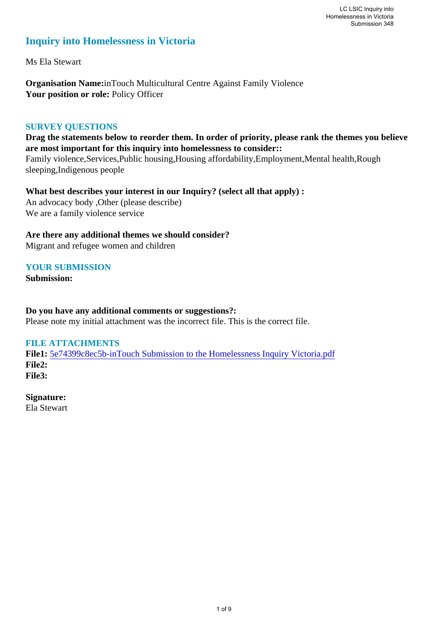# **Inquiry into Homelessness in Victoria**

Ms Ela Stewart

**Organisation Name:**inTouch Multicultural Centre Against Family Violence Your position or role: Policy Officer

## **SURVEY QUESTIONS**

**Drag the statements below to reorder them. In order of priority, please rank the themes you believe are most important for this inquiry into homelessness to consider::** 

Family violence,Services,Public housing,Housing affordability,Employment,Mental health,Rough sleeping,Indigenous people

**What best describes your interest in our Inquiry? (select all that apply) :**  An advocacy body ,Other (please describe) We are a family violence service

**Are there any additional themes we should consider?**

Migrant and refugee women and children

# **YOUR SUBMISSION**

**Submission:** 

## **Do you have any additional comments or suggestions?:**

Please note my initial attachment was the incorrect file. This is the correct file.

#### **FILE ATTACHMENTS**

**File1:** [5e74399c8ec5b-inTouch Submission to the Homelessness Inquiry Victoria.pdf](https://www.parliament.vic.gov.au/component/rsform/submission-view-file/f0e29c48df7db074057547935e563a41/39c61ae47b4f1ff6c32f6c2fdd972d3a?Itemid=463) **File2: File3:** 

**Signature:** Ela Stewart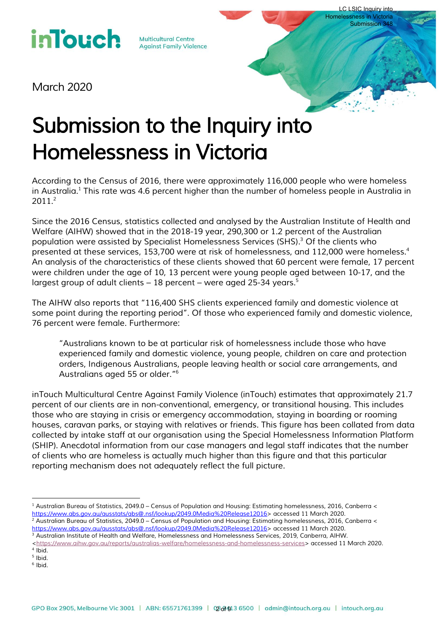# **inlouch**

**Multicultural Centre Against Family Violence** 

*March 2020*

# *Submission to the Inquiry into Homelessness in Victoria*

*According to the Census of 2016, there were approximately 116,000 people who were homeless in Australia.<sup>1</sup> This rate was 4.6 percent higher than the number of homeless people in Australia in 2011.<sup>2</sup>* 

LC LSIC Inquiry into Homelessness in Victoria Submission 348

*Since the 2016 Census, statistics collected and analysed by the Australian Institute of Health and Welfare (AIHW) showed that in the 2018-19 year, 290,300 or 1.2 percent of the Australian population were assisted by Specialist Homelessness Services (SHS).<sup>3</sup> Of the clients who presented at these services, 153,700 were at risk of homelessness, and 112,000 were homeless.<sup>4</sup> An analysis of the characteristics of these clients showed that 60 percent were female, 17 percent were children under the age of 10, 13 percent were young people aged between 10-17, and the*  largest group of adult clients – 18 percent – were aged 25-34 years. $^5$ 

*The AIHW also reports that "116,400 SHS clients experienced family and domestic violence at some point during the reporting period". Of those who experienced family and domestic violence, 76 percent were female. Furthermore:* 

*"Australians known to be at particular risk of homelessness include those who have experienced family and domestic violence, young people, children on care and protection orders, Indigenous Australians, people leaving health or social care arrangements, and Australians aged 55 or older." 6*

*inTouch Multicultural Centre Against Family Violence (inTouch) estimates that approximately 21.7 percent of our clients are in non-conventional, emergency, or transitional housing. This includes those who are staying in crisis or emergency accommodation, staying in boarding or rooming houses, caravan parks, or staying with relatives or friends. This figure has been collated from data collected by intake staff at our organisation using the Special Homelessness Information Platform (SHIP). Anecdotal information from our case managers and legal staff indicates that the number of clients who are homeless is actually much higher than this figure and that this particular reporting mechanism does not adequately reflect the full picture.* 

*6 Ibid.*

 $\overline{a}$ *<sup>1</sup> Australian Bureau of Statistics, 2049.0 – Census of Population and Housing: Estimating homelessness, 2016, Canberra < [https://www.abs.gov.au/ausstats/abs@.nsf/lookup/2049.0Media%20Release12016>](https://www.abs.gov.au/ausstats/abs@.nsf/lookup/2049.0Media%20Release12016) accessed 11 March 2020. <sup>2</sup> Australian Bureau of Statistics, 2049.0 – Census of Population and Housing: Estimating homelessness, 2016, Canberra <*

<sup>&</sup>lt;u>https://www.abs.gov.au/ausstats/abs@.nsf/lookup/2049.0Media%20Release12016</u>> accessed 11 March 2020.<br><sup>3</sup> Australian Institute of Health and Welfare, Homelessness and Homelessness Services, 2019, Canberra, AIHW.

*[<sup>&</sup>lt;https://www.aihw.gov.au/reports/australias-welfare/homelessness-and-homelessness-services>](https://www.aihw.gov.au/reports/australias-welfare/homelessness-and-homelessness-services) accessed 11 March 2020. 4 Ibid.*

*<sup>5</sup> Ibid.*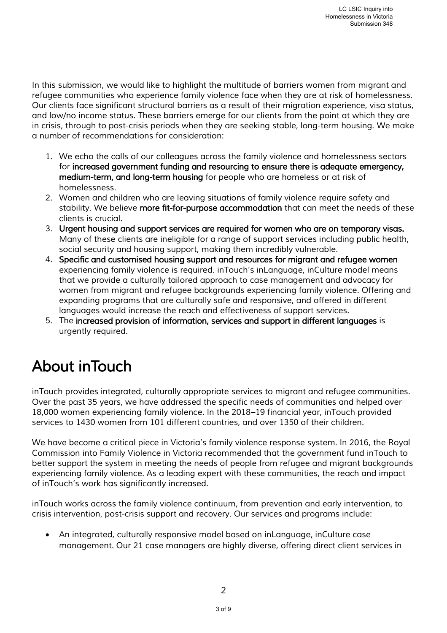In this submission, we would like to highlight the multitude of barriers women from migrant and *refugee communities who experience family violence face when they are at risk of homelessness. Our clients face significant structural barriers as a result of their migration experience, visa status, and low/no income status. These barriers emerge for our clients from the point at which they are*  in crisis, through to post-crisis periods when they are seeking stable, long-term housing. We make *a number of recommendations for consideration:* 

- *1. We echo the calls of our colleagues across the family violence and homelessness sectors*  for increased government funding and resourcing to ensure there is adequate emergency, *medium-term, and long-term housing for people who are homeless or at risk of homelessness.*
- *2. Women and children who are leaving situations of family violence require safety and stability. We believe more fit-for-purpose accommodation that can meet the needs of these clients is crucial.*
- *3. Urgent housing and support services are required for women who are on temporary visas. Many of these clients are ineligible for a range of support services including public health, social security and housing support, making them incredibly vulnerable.*
- *4. Specific and customised housing support and resources for migrant and refugee women experiencing family violence is required. inTouch's inLanguage, inCulture model means that we provide a culturally tailored approach to case management and advocacy for women from migrant and refugee backgrounds experiencing family violence. Offering and expanding programs that are culturally safe and responsive, and offered in different languages would increase the reach and effectiveness of support services.*
- *5. The increased provision of information, services and support in different languages is urgently required.*

# *About inTouch*

*inTouch provides integrated, culturally appropriate services to migrant and refugee communities. Over the past 35 years, we have addressed the specific needs of communities and helped over 18,000 women experiencing family violence. In the 2018–19 financial year, inTouch provided services to 1430 women from 101 different countries, and over 1350 of their children.* 

*We have become a critical piece in Victoria's family violence response system. In 2016, the Royal Commission into Family Violence in Victoria recommended that the government fund inTouch to better support the system in meeting the needs of people from refugee and migrant backgrounds experiencing family violence. As a leading expert with these communities, the reach and impact of inTouch's work has significantly increased.* 

*inTouch works across the family violence continuum, from prevention and early intervention, to crisis intervention, post-crisis support and recovery. Our services and programs include:* 

 *An integrated, culturally responsive model based on inLanguage, inCulture case management. Our 21 case managers are highly diverse, offering direct client services in*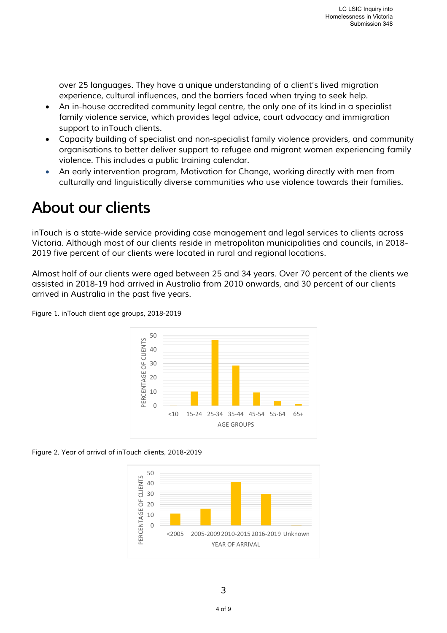*over 25 languages. They have a unique understanding of a client's lived migration experience, cultural influences, and the barriers faced when trying to seek help.* 

- *An in-house accredited community legal centre, the only one of its kind in a specialist family violence service, which provides legal advice, court advocacy and immigration support to inTouch clients.*
- *Capacity building of specialist and non-specialist family violence providers, and community organisations to better deliver support to refugee and migrant women experiencing family violence. This includes a public training calendar.*
- *An early intervention program, Motivation for Change, working directly with men from culturally and linguistically diverse communities who use violence towards their families.*

# *About our clients*

*inTouch is a state-wide service providing case management and legal services to clients across Victoria. Although most of our clients reside in metropolitan municipalities and councils, in 2018- 2019 five percent of our clients were located in rural and regional locations.* 

*Almost half of our clients were aged between 25 and 34 years. Over 70 percent of the clients we assisted in 2018-19 had arrived in Australia from 2010 onwards, and 30 percent of our clients arrived in Australia in the past five years.* 



*Figure 1. inTouch client age groups, 2018-2019* 

*Figure 2. Year of arrival of inTouch clients, 2018-2019* 

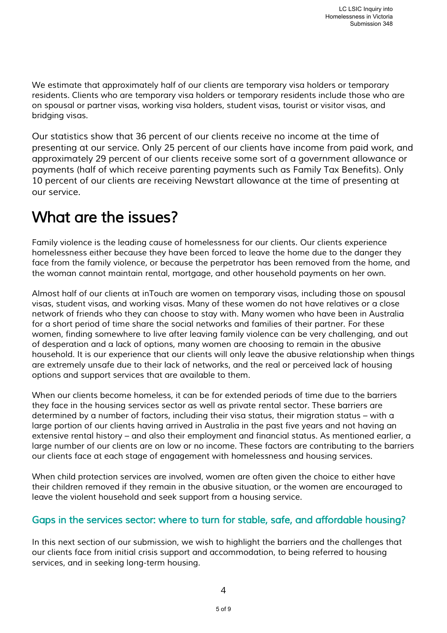*We estimate that approximately half of our clients are temporary visa holders or temporary residents. Clients who are temporary visa holders or temporary residents include those who are on spousal or partner visas, working visa holders, student visas, tourist or visitor visas, and bridging visas.* 

*Our statistics show that 36 percent of our clients receive no income at the time of presenting at our service. Only 25 percent of our clients have income from paid work, and approximately 29 percent of our clients receive some sort of a government allowance or payments (half of which receive parenting payments such as Family Tax Benefits). Only 10 percent of our clients are receiving Newstart allowance at the time of presenting at our service.* 

# *What are the issues?*

*Family violence is the leading cause of homelessness for our clients. Our clients experience homelessness either because they have been forced to leave the home due to the danger they face from the family violence, or because the perpetrator has been removed from the home, and the woman cannot maintain rental, mortgage, and other household payments on her own.* 

*Almost half of our clients at inTouch are women on temporary visas, including those on spousal visas, student visas, and working visas. Many of these women do not have relatives or a close network of friends who they can choose to stay with. Many women who have been in Australia for a short period of time share the social networks and families of their partner. For these women, finding somewhere to live after leaving family violence can be very challenging, and out of desperation and a lack of options, many women are choosing to remain in the abusive household. It is our experience that our clients will only leave the abusive relationship when things are extremely unsafe due to their lack of networks, and the real or perceived lack of housing options and support services that are available to them.* 

*When our clients become homeless, it can be for extended periods of time due to the barriers they face in the housing services sector as well as private rental sector. These barriers are determined by a number of factors, including their visa status, their migration status – with a large portion of our clients having arrived in Australia in the past five years and not having an extensive rental history – and also their employment and financial status. As mentioned earlier, a large number of our clients are on low or no income. These factors are contributing to the barriers our clients face at each stage of engagement with homelessness and housing services.* 

*When child protection services are involved, women are often given the choice to either have their children removed if they remain in the abusive situation, or the women are encouraged to leave the violent household and seek support from a housing service.* 

# *Gaps in the services sector: where to turn for stable, safe, and affordable housing?*

In this next section of our submission, we wish to highlight the barriers and the challenges that *our clients face from initial crisis support and accommodation, to being referred to housing services, and in seeking long-term housing.*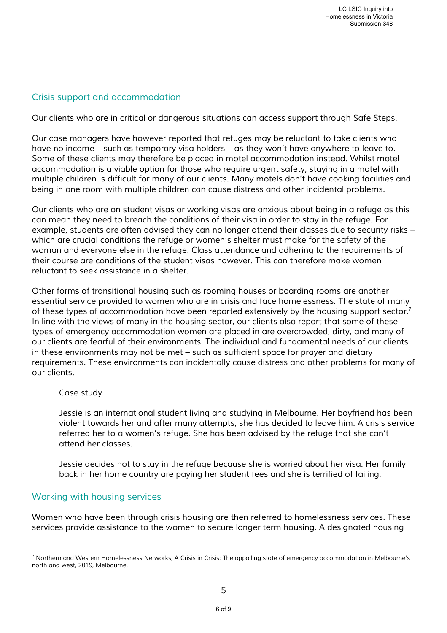# *Crisis support and accommodation*

*Our clients who are in critical or dangerous situations can access support through Safe Steps.* 

*Our case managers have however reported that refuges may be reluctant to take clients who have no income – such as temporary visa holders – as they won't have anywhere to leave to.*  Some of these clients may therefore be placed in motel accommodation instead. Whilst motel *accommodation is a viable option for those who require urgent safety, staying in a motel with multiple children is difficult for many of our clients. Many motels don't have cooking facilities and being in one room with multiple children can cause distress and other incidental problems.* 

*Our clients who are on student visas or working visas are anxious about being in a refuge as this can mean they need to breach the conditions of their visa in order to stay in the refuge. For example, students are often advised they can no longer attend their classes due to security risks – which are crucial conditions the refuge or women's shelter must make for the safety of the woman and everyone else in the refuge. Class attendance and adhering to the requirements of their course are conditions of the student visas however. This can therefore make women reluctant to seek assistance in a shelter.* 

*Other forms of transitional housing such as rooming houses or boarding rooms are another essential service provided to women who are in crisis and face homelessness. The state of many of these types of accommodation have been reported extensively by the housing support sector.<sup>7</sup>* In line with the views of many in the housing sector, our clients also report that some of these *types of emergency accommodation women are placed in are overcrowded, dirty, and many of our clients are fearful of their environments. The individual and fundamental needs of our clients in these environments may not be met – such as sufficient space for prayer and dietary requirements. These environments can incidentally cause distress and other problems for many of our clients.* 

#### *Case study*

*Jessie is an international student living and studying in Melbourne. Her boyfriend has been violent towards her and after many attempts, she has decided to leave him. A crisis service referred her to a women's refuge. She has been advised by the refuge that she can't attend her classes.* 

*Jessie decides not to stay in the refuge because she is worried about her visa. Her family back in her home country are paying her student fees and she is terrified of failing.* 

## *Working with housing services*

 $\overline{a}$ 

*Women who have been through crisis housing are then referred to homelessness services. These services provide assistance to the women to secure longer term housing. A designated housing* 

*<sup>7</sup> Northern and Western Homelessness Networks, A Crisis in Crisis: The appalling state of emergency accommodation in Melbourne's north and west, 2019, Melbourne.*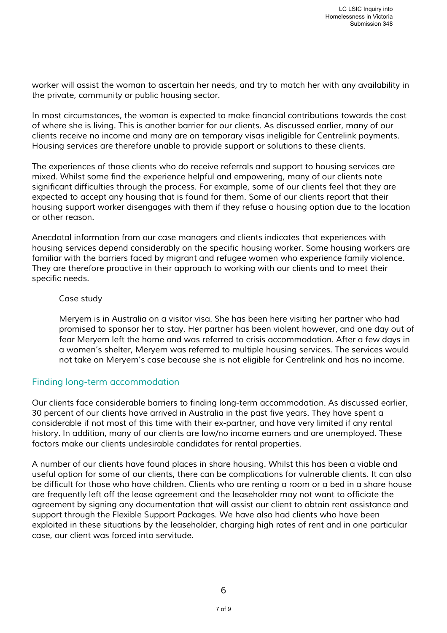*worker will assist the woman to ascertain her needs, and try to match her with any availability in the private, community or public housing sector.* 

*In most circumstances, the woman is expected to make financial contributions towards the cost of where she is living. This is another barrier for our clients. As discussed earlier, many of our clients receive no income and many are on temporary visas ineligible for Centrelink payments. Housing services are therefore unable to provide support or solutions to these clients.* 

*The experiences of those clients who do receive referrals and support to housing services are mixed. Whilst some find the experience helpful and empowering, many of our clients note significant difficulties through the process. For example, some of our clients feel that they are expected to accept any housing that is found for them. Some of our clients report that their housing support worker disengages with them if they refuse a housing option due to the location or other reason.* 

*Anecdotal information from our case managers and clients indicates that experiences with housing services depend considerably on the specific housing worker. Some housing workers are familiar with the barriers faced by migrant and refugee women who experience family violence. They are therefore proactive in their approach to working with our clients and to meet their specific needs.* 

## *Case study*

*Meryem is in Australia on a visitor visa. She has been here visiting her partner who had promised to sponsor her to stay. Her partner has been violent however, and one day out of fear Meryem left the home and was referred to crisis accommodation. After a few days in a women's shelter, Meryem was referred to multiple housing services. The services would not take on Meryem's case because she is not eligible for Centrelink and has no income.* 

## *Finding long-term accommodation*

*Our clients face considerable barriers to finding long-term accommodation. As discussed earlier, 30 percent of our clients have arrived in Australia in the past five years. They have spent a considerable if not most of this time with their ex-partner, and have very limited if any rental history. In addition, many of our clients are low/no income earners and are unemployed. These factors make our clients undesirable candidates for rental properties.* 

*A number of our clients have found places in share housing. Whilst this has been a viable and useful option for some of our clients, there can be complications for vulnerable clients. It can also be difficult for those who have children. Clients who are renting a room or a bed in a share house are frequently left off the lease agreement and the leaseholder may not want to officiate the agreement by signing any documentation that will assist our client to obtain rent assistance and support through the Flexible Support Packages. We have also had clients who have been exploited in these situations by the leaseholder, charging high rates of rent and in one particular case, our client was forced into servitude.*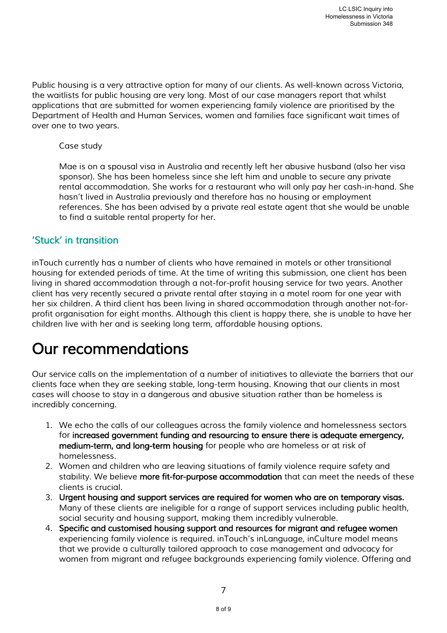*Public housing is a very attractive option for many of our clients. As well-known across Victoria, the waitlists for public housing are very long. Most of our case managers report that whilst applications that are submitted for women experiencing family violence are prioritised by the Department of Health and Human Services, women and families face significant wait times of over one to two years.* 

## *Case study*

*Mae is on a spousal visa in Australia and recently left her abusive husband (also her visa sponsor). She has been homeless since she left him and unable to secure any private rental accommodation. She works for a restaurant who will only pay her cash-in-hand. She hasn't lived in Australia previously and therefore has no housing or employment references. She has been advised by a private real estate agent that she would be unable to find a suitable rental property for her.* 

# *'Stuck' in transition*

*inTouch currently has a number of clients who have remained in motels or other transitional housing for extended periods of time. At the time of writing this submission, one client has been living in shared accommodation through a not-for-profit housing service for two years. Another client has very recently secured a private rental after staying in a motel room for one year with her six children. A third client has been living in shared accommodation through another not-forprofit organisation for eight months. Although this client is happy there, she is unable to have her children live with her and is seeking long term, affordable housing options.* 

# *Our recommendations*

*Our service calls on the implementation of a number of initiatives to alleviate the barriers that our clients face when they are seeking stable, long-term housing. Knowing that our clients in most cases will choose to stay in a dangerous and abusive situation rather than be homeless is incredibly concerning.* 

- *1. We echo the calls of our colleagues across the family violence and homelessness sectors*  for increased government funding and resourcing to ensure there is adequate emergency, *medium-term, and long-term housing for people who are homeless or at risk of homelessness.*
- *2. Women and children who are leaving situations of family violence require safety and stability. We believe more fit-for-purpose accommodation that can meet the needs of these clients is crucial.*
- *3. Urgent housing and support services are required for women who are on temporary visas. Many of these clients are ineligible for a range of support services including public health, social security and housing support, making them incredibly vulnerable.*
- *4. Specific and customised housing support and resources for migrant and refugee women experiencing family violence is required. inTouch's inLanguage, inCulture model means that we provide a culturally tailored approach to case management and advocacy for women from migrant and refugee backgrounds experiencing family violence. Offering and*